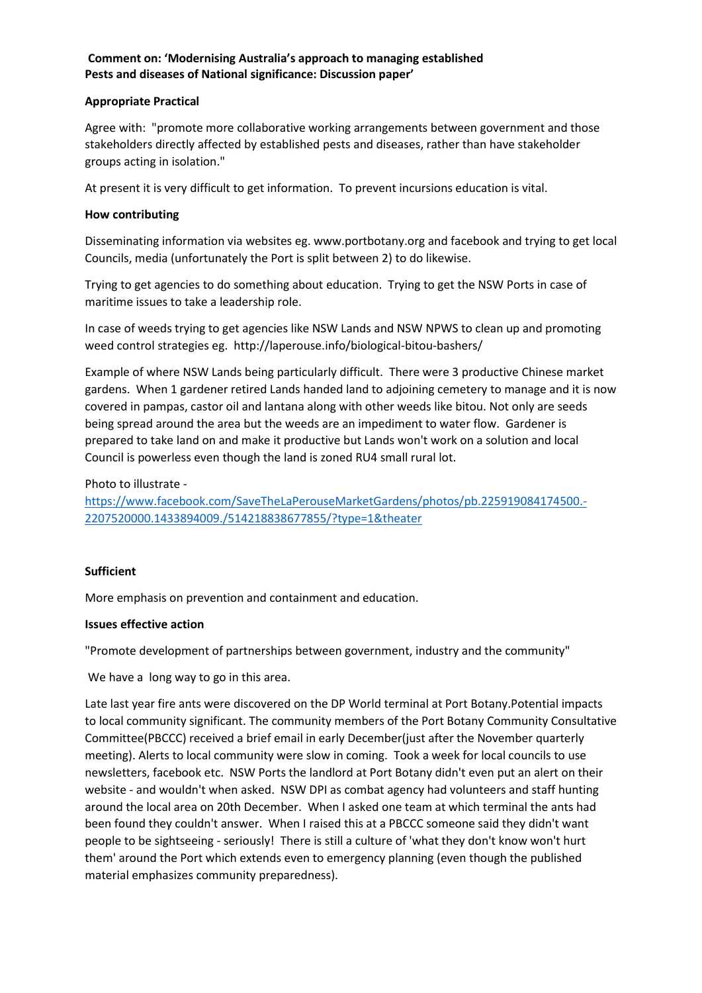# **Comment on: 'Modernising Australia's approach to managing established Pests and diseases of National significance: Discussion paper'**

## **Appropriate Practical**

Agree with: "promote more collaborative working arrangements between government and those stakeholders directly affected by established pests and diseases, rather than have stakeholder groups acting in isolation."

At present it is very difficult to get information. To prevent incursions education is vital.

## **How contributing**

Disseminating information via websites eg. www.portbotany.org and facebook and trying to get local Councils, media (unfortunately the Port is split between 2) to do likewise.

Trying to get agencies to do something about education. Trying to get the NSW Ports in case of maritime issues to take a leadership role.

In case of weeds trying to get agencies like NSW Lands and NSW NPWS to clean up and promoting weed control strategies eg. http://laperouse.info/biological-bitou-bashers/

Example of where NSW Lands being particularly difficult. There were 3 productive Chinese market gardens. When 1 gardener retired Lands handed land to adjoining cemetery to manage and it is now covered in pampas, castor oil and lantana along with other weeds like bitou. Not only are seeds being spread around the area but the weeds are an impediment to water flow. Gardener is prepared to take land on and make it productive but Lands won't work on a solution and local Council is powerless even though the land is zoned RU4 small rural lot.

### Photo to illustrate -

[https://www.facebook.com/SaveTheLaPerouseMarketGardens/photos/pb.225919084174500.-](https://www.facebook.com/SaveTheLaPerouseMarketGardens/photos/pb.225919084174500.-2207520000.1433894009./514218838677855/?type=1&theater) [2207520000.1433894009./514218838677855/?type=1&theater](https://www.facebook.com/SaveTheLaPerouseMarketGardens/photos/pb.225919084174500.-2207520000.1433894009./514218838677855/?type=1&theater)

### **Sufficient**

More emphasis on prevention and containment and education.

### **Issues effective action**

"Promote development of partnerships between government, industry and the community"

We have a long way to go in this area.

Late last year fire ants were discovered on the DP World terminal at Port Botany.Potential impacts to local community significant. The community members of the Port Botany Community Consultative Committee(PBCCC) received a brief email in early December(just after the November quarterly meeting). Alerts to local community were slow in coming. Took a week for local councils to use newsletters, facebook etc. NSW Ports the landlord at Port Botany didn't even put an alert on their website - and wouldn't when asked. NSW DPI as combat agency had volunteers and staff hunting around the local area on 20th December. When I asked one team at which terminal the ants had been found they couldn't answer. When I raised this at a PBCCC someone said they didn't want people to be sightseeing - seriously! There is still a culture of 'what they don't know won't hurt them' around the Port which extends even to emergency planning (even though the published material emphasizes community preparedness).